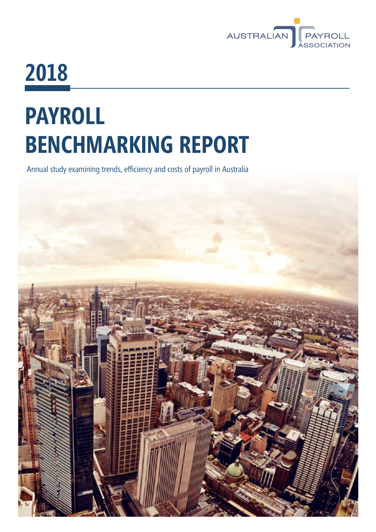

# **2018**

# **PAYROLL BENCHMARKING REPORT**

Annual study examining trends, efficiency and costs of payroll in Australia

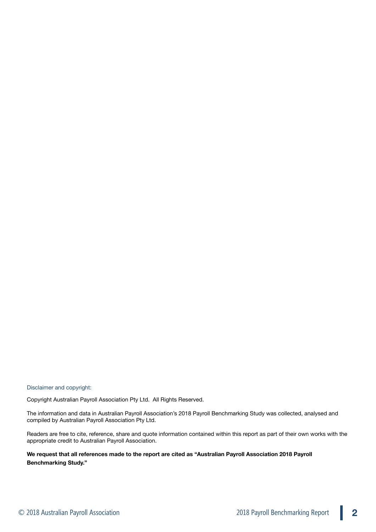Disclaimer and copyright:

Copyright Australian Payroll Association Pty Ltd. All Rights Reserved.

The information and data in Australian Payroll Association's 2018 Payroll Benchmarking Study was collected, analysed and compiled by Australian Payroll Association Pty Ltd.

Readers are free to cite, reference, share and quote information contained within this report as part of their own works with the appropriate credit to Australian Payroll Association.

**We request that all references made to the report are cited as "Australian Payroll Association 2018 Payroll Benchmarking Study."**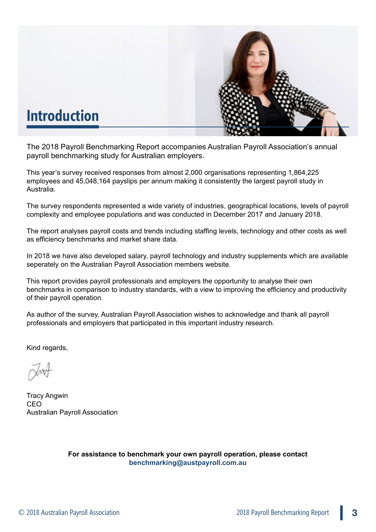

# **Introduction**

The 2018 Payroll Benchmarking Report accompanies Australian Payroll Association's annual payroll benchmarking study for Australian employers.

This year's survey received responses from almost 2,000 organisations representing 1,864,225 employees and 45,048,164 payslips per annum making it consistently the largest payroll study in Australia.

The survey respondents represented a wide variety of industries, geographical locations, levels of payroll complexity and employee populations and was conducted in December 2017 and January 2018.

The report analyses payroll costs and trends including staffing levels, technology and other costs as well as efficiency benchmarks and market share data.

In 2018 we have also developed salary, payroll technology and industry supplements which are available seperately on the Australian Payroll Association members website.

This report provides payroll professionals and employers the opportunity to analyse their own benchmarks in comparison to industry standards, with a view to improving the efficiency and productivity of their payroll operation.

As author of the survey, Australian Payroll Association wishes to acknowledge and thank all payroll professionals and employers that participated in this important industry research.

Kind regards,

Tracy Angwin CEO Australian Payroll Association

**For assistance to benchmark your own payroll operation, please contact [benchmarking@austpayroll.com.au](mailto:benchmarking@austpayroll.com.au)**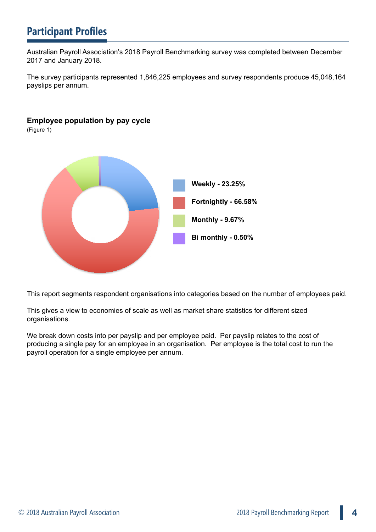# **Participant Profiles**

Australian Payroll Association's 2018 Payroll Benchmarking survey was completed between December 2017 and January 2018.

The survey participants represented 1,846,225 employees and survey respondents produce 45,048,164 payslips per annum.

## **Employee population by pay cycle**

(Figure 1)



This report segments respondent organisations into categories based on the number of employees paid.

This gives a view to economies of scale as well as market share statistics for different sized organisations.

We break down costs into per payslip and per employee paid. Per payslip relates to the cost of producing a single pay for an employee in an organisation. Per employee is the total cost to run the payroll operation for a single employee per annum.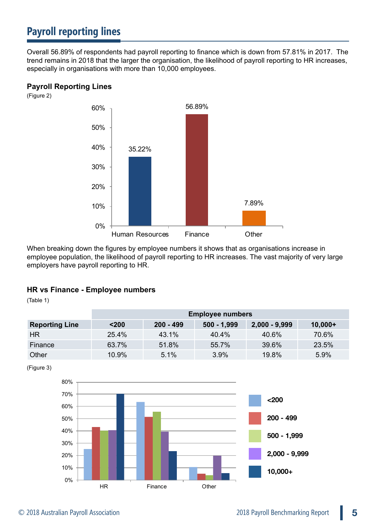# **Payroll reporting lines**

Overall 56.89% of respondents had payroll reporting to finance which is down from 57.81% in 2017. The trend remains in 2018 that the larger the organisation, the likelihood of payroll reporting to HR increases, especially in organisations with more than 10,000 employees.

#### **Payroll Reporting Lines**

(Figure 2)



When breaking down the figures by employee numbers it shows that as organisations increase in employee population, the likelihood of payroll reporting to HR increases. The vast majority of very large employers have payroll reporting to HR.

#### **HR vs Finance - Employee numbers**

(Table 1)

|                       | <b>Employee numbers</b> |             |               |                 |           |
|-----------------------|-------------------------|-------------|---------------|-----------------|-----------|
| <b>Reporting Line</b> | $200$                   | $200 - 499$ | $500 - 1,999$ | $2,000 - 9,999$ | $10,000+$ |
| HR.                   | 25.4%                   | 43.1%       | $40.4\%$      | 40.6%           | 70.6%     |
| Finance               | 63.7%                   | 51.8%       | 55.7%         | 39.6%           | 23.5%     |
| Other                 | 10.9%                   | 5.1%        | 3.9%          | 19.8%           | 5.9%      |

(Figure 3)

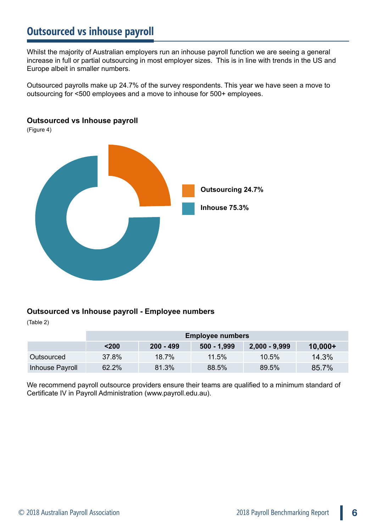## **Outsourced vs inhouse payroll**

Whilst the majority of Australian employers run an inhouse payroll function we are seeing a general increase in full or partial outsourcing in most employer sizes. This is in line with trends in the US and Europe albeit in smaller numbers.

Outsourced payrolls make up 24.7% of the survey respondents. This year we have seen a move to outsourcing for <500 employees and a move to inhouse for 500+ employees.

#### **Outsourced vs Inhouse payroll**

(Figure 4)



#### **Outsourced vs Inhouse payroll - Employee numbers**

(Table 2)

|                 | <b>Employee numbers</b> |             |               |                 |           |
|-----------------|-------------------------|-------------|---------------|-----------------|-----------|
|                 | $200$                   | $200 - 499$ | $500 - 1,999$ | $2,000 - 9,999$ | $10,000+$ |
| Outsourced      | 37.8%                   | 18.7%       | 11.5%         | 10.5%           | 14.3%     |
| Inhouse Payroll | 62.2%                   | 81.3%       | 88.5%         | 89.5%           | 85.7%     |

We recommend payroll outsource providers ensure their teams are qualified to a minimum standard of Certificate IV in Payroll Administration (<www.payroll.edu.au>).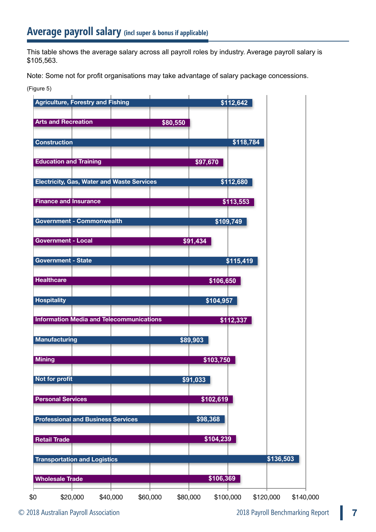This table shows the average salary across all payroll roles by industry. Average payroll salary is \$105,563.

Note: Some not for profit organisations may take advantage of salary package concessions.

#### (Figure 5)

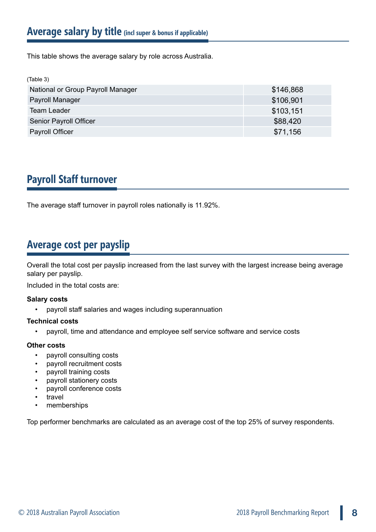This table shows the average salary by role across Australia.

| (Table 3)                         |           |
|-----------------------------------|-----------|
| National or Group Payroll Manager | \$146,868 |
| Payroll Manager                   | \$106,901 |
| <b>Team Leader</b>                | \$103,151 |
| Senior Payroll Officer            | \$88,420  |
| Payroll Officer                   | \$71,156  |

# **Payroll Staff turnover**

The average staff turnover in payroll roles nationally is 11.92%.

# **Average cost per payslip**

Overall the total cost per payslip increased from the last survey with the largest increase being average salary per payslip.

Included in the total costs are:

#### **Salary costs**

• payroll staff salaries and wages including superannuation

#### **Technical costs**

• payroll, time and attendance and employee self service software and service costs

#### **Other costs**

- payroll consulting costs
- payroll recruitment costs
- payroll training costs
- payroll stationery costs
- payroll conference costs
- travel
- memberships

Top performer benchmarks are calculated as an average cost of the top 25% of survey respondents.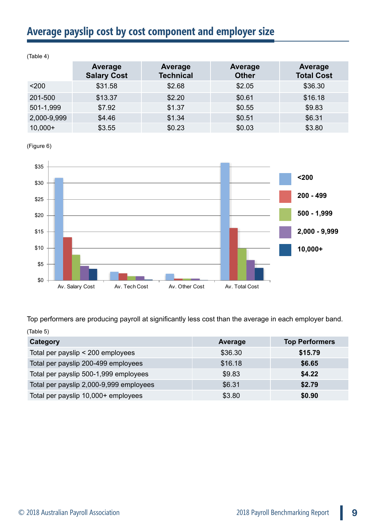# **Average payslip cost by cost component and employer size**

| $\cdots$    |                               |                                    |                                |                              |
|-------------|-------------------------------|------------------------------------|--------------------------------|------------------------------|
|             | Average<br><b>Salary Cost</b> | <b>Average</b><br><b>Technical</b> | <b>Average</b><br><b>Other</b> | Average<br><b>Total Cost</b> |
| $200$       | \$31.58                       | \$2.68                             | \$2.05                         | \$36.30                      |
| 201-500     | \$13.37                       | \$2.20                             | \$0.61                         | \$16.18                      |
| 501-1,999   | \$7.92                        | \$1.37                             | \$0.55                         | \$9.83                       |
| 2,000-9,999 | \$4.46                        | \$1.34                             | \$0.51                         | \$6.31                       |
| $10,000+$   | \$3.55                        | \$0.23                             | \$0.03                         | \$3.80                       |

(Table 4)

(Figure 6)



Top performers are producing payroll at significantly less cost than the average in each employer band. (Table 5)

| Category                                | <b>Average</b> | <b>Top Performers</b> |
|-----------------------------------------|----------------|-----------------------|
| Total per payslip < 200 employees       | \$36.30        | \$15.79               |
| Total per payslip 200-499 employees     | \$16.18        | \$6.65                |
| Total per payslip 500-1,999 employees   | \$9.83         | \$4.22                |
| Total per payslip 2,000-9,999 employees | \$6.31         | \$2.79                |
| Total per payslip 10,000+ employees     | \$3.80         | \$0.90                |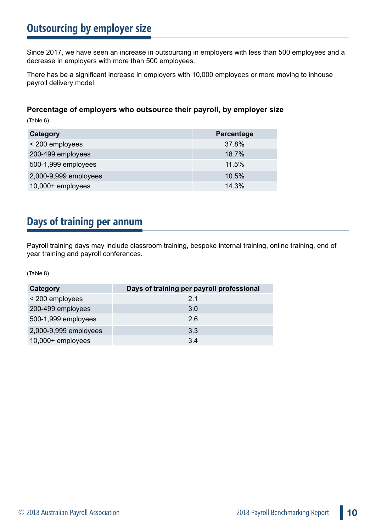# **Outsourcing by employer size**

Since 2017, we have seen an increase in outsourcing in employers with less than 500 employees and a decrease in employers with more than 500 employees.

There has be a significant increase in employers with 10,000 employees or more moving to inhouse payroll delivery model.

## **Percentage of employers who outsource their payroll, by employer size**

(Table 6)

| Category              | Percentage |
|-----------------------|------------|
| < 200 employees       | 37.8%      |
| 200-499 employees     | 18.7%      |
| 500-1,999 employees   | 11.5%      |
| 2,000-9,999 employees | 10.5%      |
| 10,000+ employees     | 14.3%      |

# **Days of training per annum**

Payroll training days may include classroom training, bespoke internal training, online training, end of year training and payroll conferences.

(Table 8)

| Category              | Days of training per payroll professional |  |  |
|-----------------------|-------------------------------------------|--|--|
| < 200 employees       | 21                                        |  |  |
| 200-499 employees     | 3.0                                       |  |  |
| 500-1,999 employees   | 2.6                                       |  |  |
| 2,000-9,999 employees | 3.3                                       |  |  |
| 10,000+ employees     | 3.4                                       |  |  |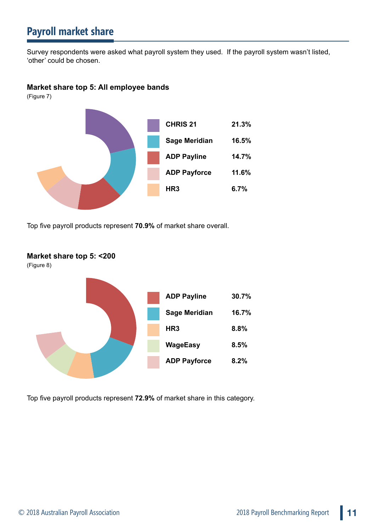# **Payroll market share**

Survey respondents were asked what payroll system they used. If the payroll system wasn't listed, 'other' could be chosen.

#### **Market share top 5: All employee bands**

(Figure 7)



Top five payroll products represent **70.9%** of market share overall.



Top five payroll products represent **72.9%** of market share in this category.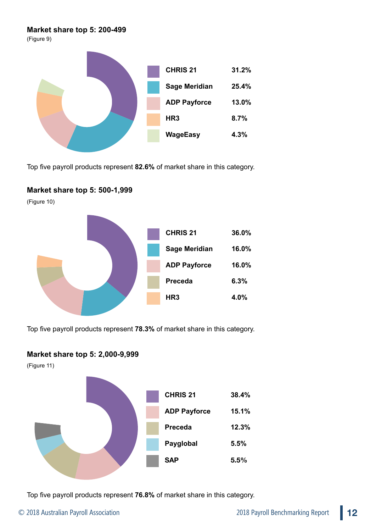#### **Market share top 5: 200-499**

(Figure 9)



Top five payroll products represent **82.6%** of market share in this category.

## **Market share top 5: 500-1,999**

(Figure 10)



Top five payroll products represent **78.3%** of market share in this category.

#### **Market share top 5: 2,000-9,999**

(Figure 11)



Top five payroll products represent **76.8%** of market share in this category.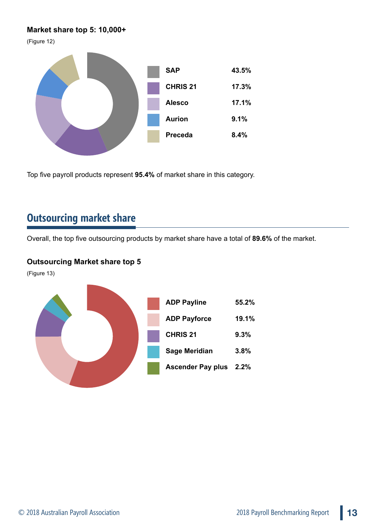## **Market share top 5: 10,000+**

(Figure 12)



Top five payroll products represent **95.4%** of market share in this category.

## **Outsourcing market share**

Overall, the top five outsourcing products by market share have a total of **89.6%** of the market.

## **Outsourcing Market share top 5**

(Figure 13)

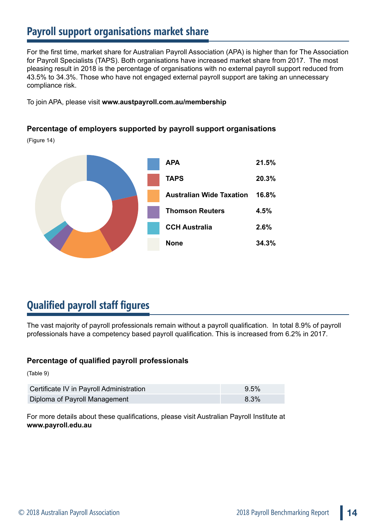# **Payroll support organisations market share**

For the first time, market share for Australian Payroll Association (APA) is higher than for The Association for Payroll Specialists (TAPS). Both organisations have increased market share from 2017. The most pleasing result in 2018 is the percentage of organisations with no external payroll support reduced from 43.5% to 34.3%. Those who have not engaged external payroll support are taking an unnecessary compliance risk.

To join APA, please visit **<www.austpayroll.com.au/membership>**

## **Percentage of employers supported by payroll support organisations**

(Figure 14)



# **Qualified payroll staff figures**

The vast majority of payroll professionals remain without a payroll qualification. In total 8.9% of payroll professionals have a competency based payroll qualification. This is increased from 6.2% in 2017.

## **Percentage of qualified payroll professionals**

(Table 9)

| Certificate IV in Payroll Administration | 9.5%    |
|------------------------------------------|---------|
| Diploma of Payroll Management            | $8.3\%$ |

For more details about these qualifications, please visit Australian Payroll Institute at **www.payroll.edu.au**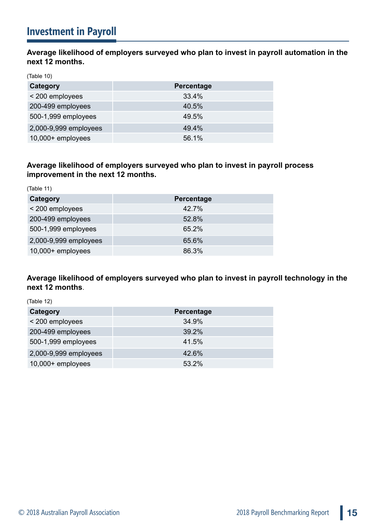**Average likelihood of employers surveyed who plan to invest in payroll automation in the next 12 months.**

(Table 10)

| Category              | <b>Percentage</b> |  |
|-----------------------|-------------------|--|
| < 200 employees       | 33.4%             |  |
| 200-499 employees     | 40.5%             |  |
| 500-1,999 employees   | 49.5%             |  |
| 2,000-9,999 employees | 49.4%             |  |
| 10,000+ employees     | 56.1%             |  |

## **Average likelihood of employers surveyed who plan to invest in payroll process improvement in the next 12 months.**

| (Table 11)            |                   |  |  |  |
|-----------------------|-------------------|--|--|--|
| Category              | <b>Percentage</b> |  |  |  |
| < 200 employees       | 42.7%             |  |  |  |
| 200-499 employees     | 52.8%             |  |  |  |
| 500-1,999 employees   | 65.2%             |  |  |  |
| 2,000-9,999 employees | 65.6%             |  |  |  |
| 10,000+ employees     | 86.3%             |  |  |  |

## **Average likelihood of employers surveyed who plan to invest in payroll technology in the next 12 months**.

| (Table 12)            |                   |  |  |  |
|-----------------------|-------------------|--|--|--|
| Category              | <b>Percentage</b> |  |  |  |
| < 200 employees       | 34.9%             |  |  |  |
| 200-499 employees     | 39.2%             |  |  |  |
| 500-1,999 employees   | 41.5%             |  |  |  |
| 2,000-9,999 employees | 42.6%             |  |  |  |
| 10,000+ employees     | 53.2%             |  |  |  |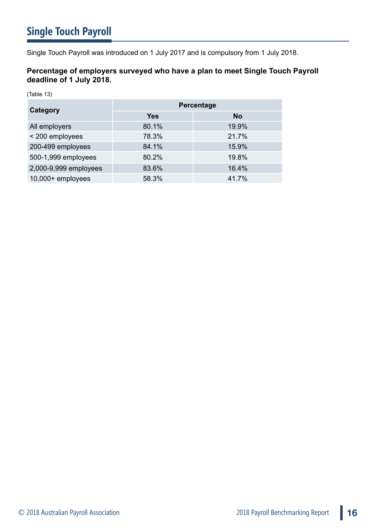Single Touch Payroll was introduced on 1 July 2017 and is compulsory from 1 July 2018.

## **Percentage of employers surveyed who have a plan to meet Single Touch Payroll deadline of 1 July 2018.**

(Table 13)

| Category              | Percentage |           |  |
|-----------------------|------------|-----------|--|
|                       | <b>Yes</b> | <b>No</b> |  |
| All employers         | 80.1%      | 19.9%     |  |
| < 200 employees       | 78.3%      | 21.7%     |  |
| 200-499 employees     | 84.1%      | 15.9%     |  |
| 500-1,999 employees   | 80.2%      | 19.8%     |  |
| 2,000-9,999 employees | 83.6%      | 16.4%     |  |
| 10,000+ employees     | 58.3%      | 41.7%     |  |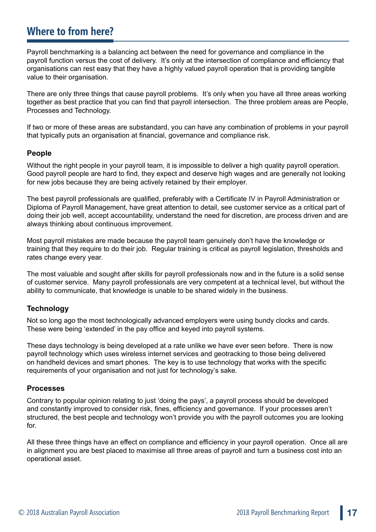## **Where to from here?**

Payroll benchmarking is a balancing act between the need for governance and compliance in the payroll function versus the cost of delivery. It's only at the intersection of compliance and efficiency that organisations can rest easy that they have a highly valued payroll operation that is providing tangible value to their organisation.

There are only three things that cause payroll problems. It's only when you have all three areas working together as best practice that you can find that payroll intersection. The three problem areas are People, Processes and Technology.

If two or more of these areas are substandard, you can have any combination of problems in your payroll that typically puts an organisation at financial, governance and compliance risk.

#### **People**

Without the right people in your payroll team, it is impossible to deliver a high quality payroll operation. Good payroll people are hard to find, they expect and deserve high wages and are generally not looking for new jobs because they are being actively retained by their employer.

The best payroll professionals are qualified, preferably with a Certificate IV in Payroll Administration or Diploma of Payroll Management, have great attention to detail, see customer service as a critical part of doing their job well, accept accountability, understand the need for discretion, are process driven and are always thinking about continuous improvement.

Most payroll mistakes are made because the payroll team genuinely don't have the knowledge or training that they require to do their job. Regular training is critical as payroll legislation, thresholds and rates change every year.

The most valuable and sought after skills for payroll professionals now and in the future is a solid sense of customer service. Many payroll professionals are very competent at a technical level, but without the ability to communicate, that knowledge is unable to be shared widely in the business.

#### **Technology**

Not so long ago the most technologically advanced employers were using bundy clocks and cards. These were being 'extended' in the pay office and keyed into payroll systems.

These days technology is being developed at a rate unlike we have ever seen before. There is now payroll technology which uses wireless internet services and geotracking to those being delivered on handheld devices and smart phones. The key is to use technology that works with the specific requirements of your organisation and not just for technology's sake.

#### **Processes**

Contrary to popular opinion relating to just 'doing the pays', a payroll process should be developed and constantly improved to consider risk, fines, efficiency and governance. If your processes aren't structured, the best people and technology won't provide you with the payroll outcomes you are looking for.

All these three things have an effect on compliance and efficiency in your payroll operation. Once all are in alignment you are best placed to maximise all three areas of payroll and turn a business cost into an operational asset.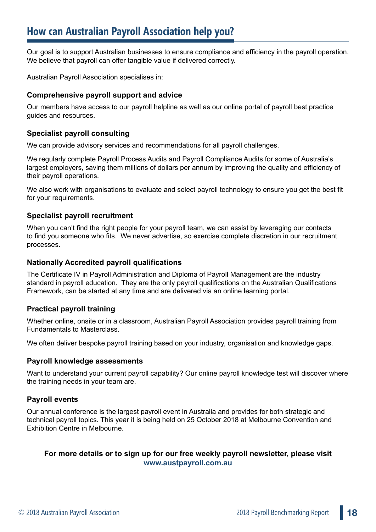Our goal is to support Australian businesses to ensure compliance and efficiency in the payroll operation. We believe that payroll can offer tangible value if delivered correctly.

Australian Payroll Association specialises in:

#### **Comprehensive payroll support and advice**

Our members have access to our payroll helpline as well as our online portal of payroll best practice guides and resources.

## **Specialist payroll consulting**

We can provide advisory services and recommendations for all payroll challenges.

We regularly complete Payroll Process Audits and Payroll Compliance Audits for some of Australia's largest employers, saving them millions of dollars per annum by improving the quality and efficiency of their payroll operations.

We also work with organisations to evaluate and select payroll technology to ensure you get the best fit for your requirements.

## **Specialist payroll recruitment**

When you can't find the right people for your payroll team, we can assist by leveraging our contacts to find you someone who fits. We never advertise, so exercise complete discretion in our recruitment processes.

#### **Nationally Accredited payroll qualifications**

The Certificate IV in Payroll Administration and Diploma of Payroll Management are the industry standard in payroll education. They are the only payroll qualifications on the Australian Qualifications Framework, can be started at any time and are delivered via an online learning portal.

#### **Practical payroll training**

Whether online, onsite or in a classroom, Australian Payroll Association provides payroll training from Fundamentals to Masterclass.

We often deliver bespoke payroll training based on your industry, organisation and knowledge gaps.

#### **Payroll knowledge assessments**

Want to understand your current payroll capability? Our online payroll knowledge test will discover where the training needs in your team are.

## **Payroll events**

Our annual conference is the largest payroll event in Australia and provides for both strategic and technical payroll topics. This year it is being held on 25 October 2018 at Melbourne Convention and Exhibition Centre in Melbourne.

## **For more details or to sign up for our free weekly payroll newsletter, please visit <www.austpayroll.com.au>**